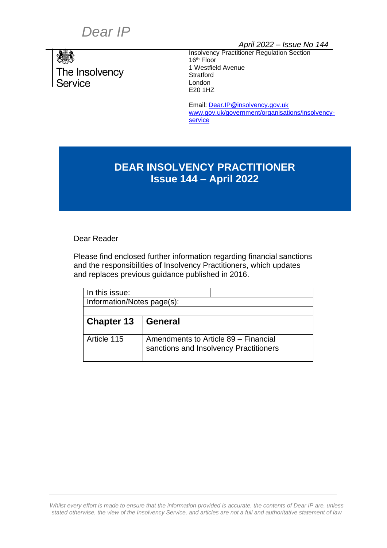# *Dear IP*



*April 2022 – Issue No 144*

Insolvency Practitioner Regulation Section 16<sup>th</sup> Floor 1 Westfield Avenue **Stratford** London E20 1HZ

Email: [Dear.IP@insolvency.gov.uk](mailto:Dear.IP@insolvency.gov.uk) [www.gov.uk/government/organisations/insolvency](http://www.gov.uk/government/organisations/insolvency-service)[service](http://www.gov.uk/government/organisations/insolvency-service)

# **DEAR INSOLVENCY PRACTITIONER Issue 144 – April 2022**

Dear Reader

Please find enclosed further information regarding financial sanctions and the responsibilities of Insolvency Practitioners, which updates and replaces previous guidance published in 2016.

| In this issue:             |                                                                                |
|----------------------------|--------------------------------------------------------------------------------|
| Information/Notes page(s): |                                                                                |
|                            |                                                                                |
| <b>Chapter 13</b>          | <b>General</b>                                                                 |
| Article 115                | Amendments to Article 89 - Financial<br>sanctions and Insolvency Practitioners |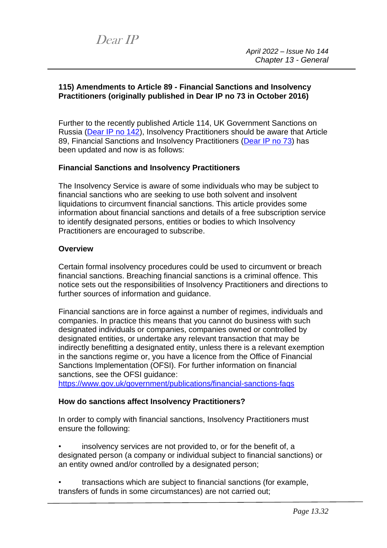### **115) Amendments to Article 89 - Financial Sanctions and Insolvency Practitioners (originally published in Dear IP no 73 in October 2016)**

Further to the recently published Article 114, UK Government Sanctions on Russia [\(Dear IP](https://www.gov.uk/guidance/dear-insolvency-practitioner/13-general#:~:text=UK%20Government%20Sanctions%20on%20Russia) no 142), Insolvency Practitioners should be aware that Article 89, Financial Sanctions and Insolvency Practitioners [\(Dear IP no 73\)](https://www.insolvencydirect.bis.gov.uk/insolvencyprofessionandlegislation/dearip/dearipmill/chapter13-2.htm#89) has been updated and now is as follows:

## **Financial Sanctions and Insolvency Practitioners**

The Insolvency Service is aware of some individuals who may be subject to financial sanctions who are seeking to use both solvent and insolvent liquidations to circumvent financial sanctions. This article provides some information about financial sanctions and details of a free subscription service to identify designated persons, entities or bodies to which Insolvency Practitioners are encouraged to subscribe.

#### **Overview**

Certain formal insolvency procedures could be used to circumvent or breach financial sanctions. Breaching financial sanctions is a criminal offence. This notice sets out the responsibilities of Insolvency Practitioners and directions to further sources of information and guidance.

Financial sanctions are in force against a number of regimes, individuals and companies. In practice this means that you cannot do business with such designated individuals or companies, companies owned or controlled by designated entities, or undertake any relevant transaction that may be indirectly benefitting a designated entity, unless there is a relevant exemption in the sanctions regime or, you have a licence from the Office of Financial Sanctions Implementation (OFSI). For further information on financial sanctions, see the OFSI guidance:

<https://www.gov.uk/government/publications/financial-sanctions-faqs>

#### **How do sanctions affect Insolvency Practitioners?**

In order to comply with financial sanctions, Insolvency Practitioners must ensure the following:

• insolvency services are not provided to, or for the benefit of, a designated person (a company or individual subject to financial sanctions) or an entity owned and/or controlled by a designated person;

• transactions which are subject to financial sanctions (for example, transfers of funds in some circumstances) are not carried out;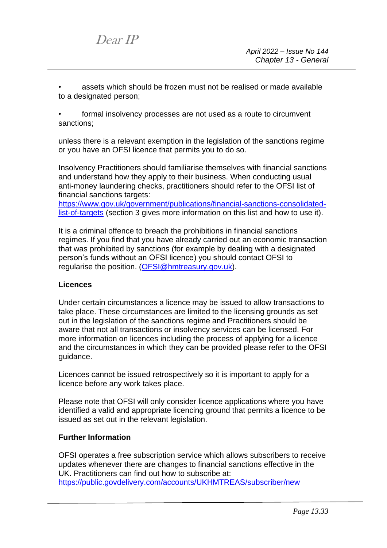• assets which should be frozen must not be realised or made available to a designated person;

formal insolvency processes are not used as a route to circumvent sanctions;

unless there is a relevant exemption in the legislation of the sanctions regime or you have an OFSI licence that permits you to do so.

Insolvency Practitioners should familiarise themselves with financial sanctions and understand how they apply to their business. When conducting usual anti-money laundering checks, practitioners should refer to the OFSI list of financial sanctions targets:

[https://www.gov.uk/government/publications/financial-sanctions-consolidated](https://www.gov.uk/government/publications/financial-sanctions-consolidated-list-of-targets)[list-of-targets](https://www.gov.uk/government/publications/financial-sanctions-consolidated-list-of-targets) (section 3 gives more information on this list and how to use it).

It is a criminal offence to breach the prohibitions in financial sanctions regimes. If you find that you have already carried out an economic transaction that was prohibited by sanctions (for example by dealing with a designated person's funds without an OFSI licence) you should contact OFSI to regularise the position. [\(OFSI@hmtreasury.gov.uk\)](mailto:OFSI@hmtreasury.gov.uk).

#### **Licences**

Under certain circumstances a licence may be issued to allow transactions to take place. These circumstances are limited to the licensing grounds as set out in the legislation of the sanctions regime and Practitioners should be aware that not all transactions or insolvency services can be licensed. For more information on licences including the process of applying for a licence and the circumstances in which they can be provided please refer to the OFSI guidance.

Licences cannot be issued retrospectively so it is important to apply for a licence before any work takes place.

Please note that OFSI will only consider licence applications where you have identified a valid and appropriate licencing ground that permits a licence to be issued as set out in the relevant legislation.

#### **Further Information**

OFSI operates a free subscription service which allows subscribers to receive updates whenever there are changes to financial sanctions effective in the UK. Practitioners can find out how to subscribe at: <https://public.govdelivery.com/accounts/UKHMTREAS/subscriber/new>